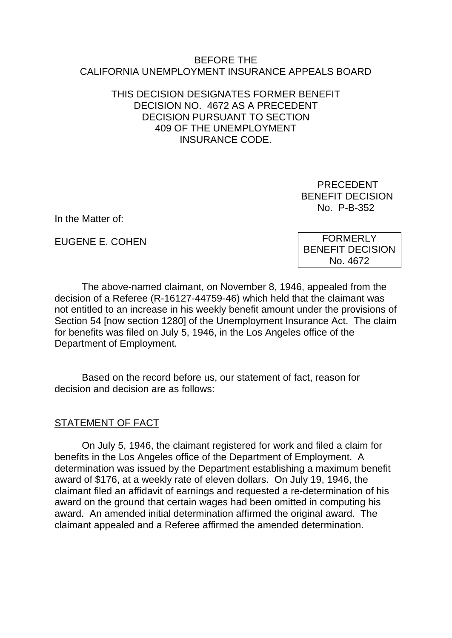#### BEFORE THE CALIFORNIA UNEMPLOYMENT INSURANCE APPEALS BOARD

### THIS DECISION DESIGNATES FORMER BENEFIT DECISION NO. 4672 AS A PRECEDENT DECISION PURSUANT TO SECTION 409 OF THE UNEMPLOYMENT INSURANCE CODE.

 PRECEDENT BENEFIT DECISION No. P-B-352

In the Matter of:

EUGENE E. COHEN

FORMERLY BENEFIT DECISION No. 4672

The above-named claimant, on November 8, 1946, appealed from the decision of a Referee (R-16127-44759-46) which held that the claimant was not entitled to an increase in his weekly benefit amount under the provisions of Section 54 [now section 1280] of the Unemployment Insurance Act. The claim for benefits was filed on July 5, 1946, in the Los Angeles office of the Department of Employment.

Based on the record before us, our statement of fact, reason for decision and decision are as follows:

# STATEMENT OF FACT

On July 5, 1946, the claimant registered for work and filed a claim for benefits in the Los Angeles office of the Department of Employment. A determination was issued by the Department establishing a maximum benefit award of \$176, at a weekly rate of eleven dollars. On July 19, 1946, the claimant filed an affidavit of earnings and requested a re-determination of his award on the ground that certain wages had been omitted in computing his award. An amended initial determination affirmed the original award. The claimant appealed and a Referee affirmed the amended determination.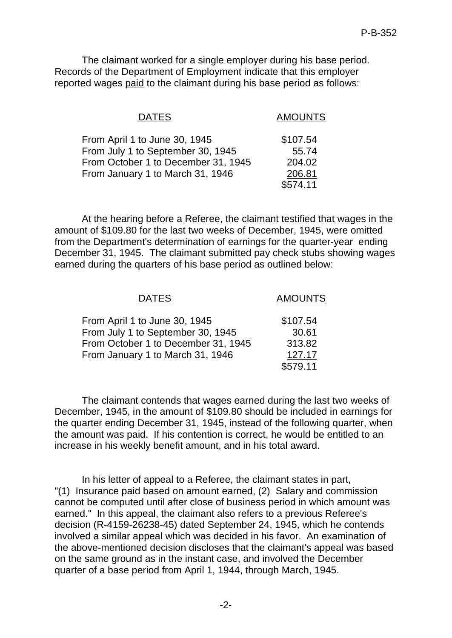The claimant worked for a single employer during his base period. Records of the Department of Employment indicate that this employer reported wages paid to the claimant during his base period as follows:

| <b>DATES</b>                        | <b>AMOUNTS</b> |
|-------------------------------------|----------------|
| From April 1 to June 30, 1945       | \$107.54       |
| From July 1 to September 30, 1945   | 55.74          |
| From October 1 to December 31, 1945 | 204.02         |
| From January 1 to March 31, 1946    | 206.81         |
|                                     | \$574.11       |

At the hearing before a Referee, the claimant testified that wages in the amount of \$109.80 for the last two weeks of December, 1945, were omitted from the Department's determination of earnings for the quarter-year ending December 31, 1945. The claimant submitted pay check stubs showing wages earned during the quarters of his base period as outlined below:

| <b>DATES</b>                                                                                              | <b>AMOUNTS</b>                        |
|-----------------------------------------------------------------------------------------------------------|---------------------------------------|
| From April 1 to June 30, 1945<br>From July 1 to September 30, 1945<br>From October 1 to December 31, 1945 | \$107.54<br>30.61<br>313.82<br>127.17 |
| From January 1 to March 31, 1946                                                                          | \$579.11                              |

The claimant contends that wages earned during the last two weeks of December, 1945, in the amount of \$109.80 should be included in earnings for the quarter ending December 31, 1945, instead of the following quarter, when the amount was paid. If his contention is correct, he would be entitled to an increase in his weekly benefit amount, and in his total award.

In his letter of appeal to a Referee, the claimant states in part, "(1) Insurance paid based on amount earned, (2) Salary and commission cannot be computed until after close of business period in which amount was earned." In this appeal, the claimant also refers to a previous Referee's decision (R-4159-26238-45) dated September 24, 1945, which he contends involved a similar appeal which was decided in his favor. An examination of the above-mentioned decision discloses that the claimant's appeal was based on the same ground as in the instant case, and involved the December quarter of a base period from April 1, 1944, through March, 1945.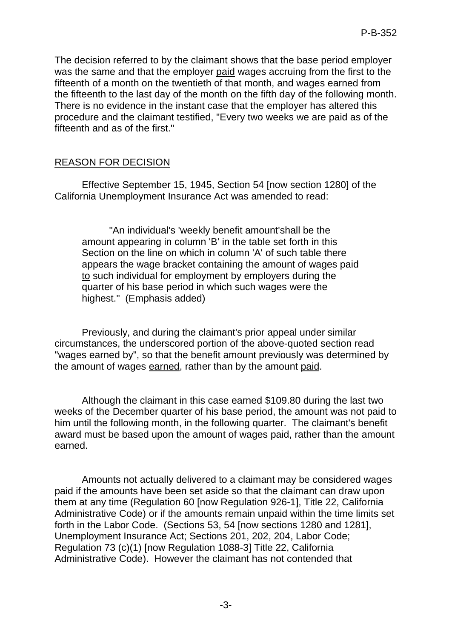The decision referred to by the claimant shows that the base period employer was the same and that the employer paid wages accruing from the first to the fifteenth of a month on the twentieth of that month, and wages earned from the fifteenth to the last day of the month on the fifth day of the following month. There is no evidence in the instant case that the employer has altered this procedure and the claimant testified, "Every two weeks we are paid as of the fifteenth and as of the first."

# REASON FOR DECISION

Effective September 15, 1945, Section 54 [now section 1280] of the California Unemployment Insurance Act was amended to read:

"An individual's 'weekly benefit amount'shall be the amount appearing in column 'B' in the table set forth in this Section on the line on which in column 'A' of such table there appears the wage bracket containing the amount of wages paid to such individual for employment by employers during the quarter of his base period in which such wages were the highest." (Emphasis added)

Previously, and during the claimant's prior appeal under similar circumstances, the underscored portion of the above-quoted section read "wages earned by", so that the benefit amount previously was determined by the amount of wages earned, rather than by the amount paid.

Although the claimant in this case earned \$109.80 during the last two weeks of the December quarter of his base period, the amount was not paid to him until the following month, in the following quarter. The claimant's benefit award must be based upon the amount of wages paid, rather than the amount earned.

Amounts not actually delivered to a claimant may be considered wages paid if the amounts have been set aside so that the claimant can draw upon them at any time (Regulation 60 [now Regulation 926-1], Title 22, California Administrative Code) or if the amounts remain unpaid within the time limits set forth in the Labor Code. (Sections 53, 54 [now sections 1280 and 1281], Unemployment Insurance Act; Sections 201, 202, 204, Labor Code; Regulation 73 (c)(1) [now Regulation 1088-3] Title 22, California Administrative Code). However the claimant has not contended that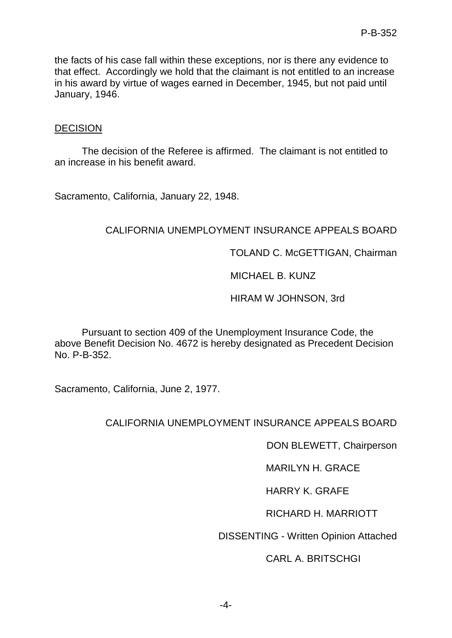the facts of his case fall within these exceptions, nor is there any evidence to that effect. Accordingly we hold that the claimant is not entitled to an increase in his award by virtue of wages earned in December, 1945, but not paid until January, 1946.

#### DECISION

The decision of the Referee is affirmed. The claimant is not entitled to an increase in his benefit award.

Sacramento, California, January 22, 1948.

### CALIFORNIA UNEMPLOYMENT INSURANCE APPEALS BOARD

TOLAND C. McGETTIGAN, Chairman

### MICHAEL B. KUNZ

### HIRAM W JOHNSON, 3rd

Pursuant to section 409 of the Unemployment Insurance Code, the above Benefit Decision No. 4672 is hereby designated as Precedent Decision No. P-B-352.

Sacramento, California, June 2, 1977.

# CALIFORNIA UNEMPLOYMENT INSURANCE APPEALS BOARD

DON BLEWETT, Chairperson

MARILYN H. GRACE

HARRY K. GRAFE

RICHARD H. MARRIOTT

DISSENTING - Written Opinion Attached

### CARL A. BRITSCHGI